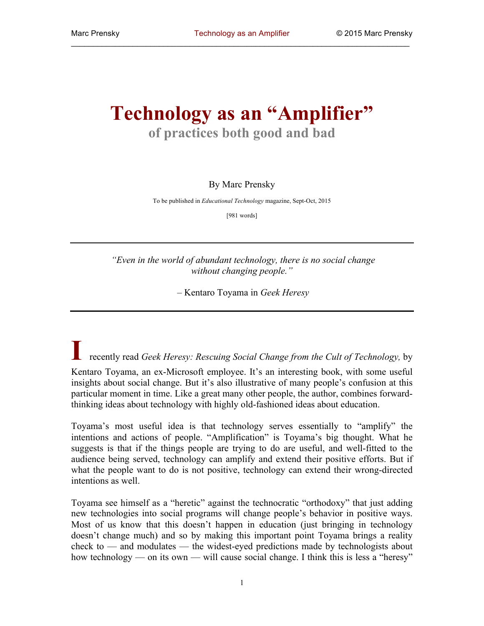## **Technology as an "Amplifier" of practices both good and bad**

## By Marc Prensky

To be published in *Educational Technology* magazine, Sept-Oct, 2015

[981 words]

*"Even in the world of abundant technology, there is no social change without changing people."*

– Kentaro Toyama in *Geek Heresy*

**I** recently read *Geek Heresy: Rescuing Social Change from the Cult of Technology,* by Kentaro Toyama, an ex-Microsoft employee. It's an interesting book, with some useful insights about social change. But it's also illustrative of many people's confusion at this particular moment in time. Like a great many other people, the author, combines forwardthinking ideas about technology with highly old-fashioned ideas about education.

Toyama's most useful idea is that technology serves essentially to "amplify" the intentions and actions of people. "Amplification" is Toyama's big thought. What he suggests is that if the things people are trying to do are useful, and well-fitted to the audience being served, technology can amplify and extend their positive efforts. But if what the people want to do is not positive, technology can extend their wrong-directed intentions as well.

Toyama see himself as a "heretic" against the technocratic "orthodoxy" that just adding new technologies into social programs will change people's behavior in positive ways. Most of us know that this doesn't happen in education (just bringing in technology doesn't change much) and so by making this important point Toyama brings a reality check to — and modulates — the widest-eyed predictions made by technologists about how technology — on its own — will cause social change. I think this is less a "heresy"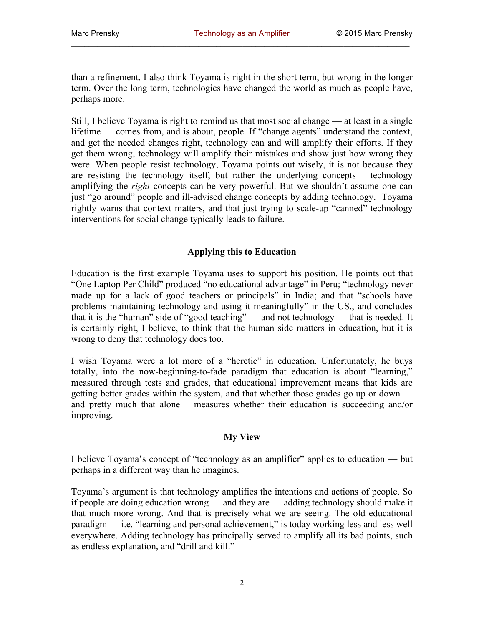than a refinement. I also think Toyama is right in the short term, but wrong in the longer term. Over the long term, technologies have changed the world as much as people have, perhaps more.

Still, I believe Toyama is right to remind us that most social change — at least in a single lifetime — comes from, and is about, people. If "change agents" understand the context, and get the needed changes right, technology can and will amplify their efforts. If they get them wrong, technology will amplify their mistakes and show just how wrong they were. When people resist technology, Toyama points out wisely, it is not because they are resisting the technology itself, but rather the underlying concepts —technology amplifying the *right* concepts can be very powerful. But we shouldn't assume one can just "go around" people and ill-advised change concepts by adding technology. Toyama rightly warns that context matters, and that just trying to scale-up "canned" technology interventions for social change typically leads to failure.

## **Applying this to Education**

Education is the first example Toyama uses to support his position. He points out that "One Laptop Per Child" produced "no educational advantage" in Peru; "technology never made up for a lack of good teachers or principals" in India; and that "schools have problems maintaining technology and using it meaningfully" in the US., and concludes that it is the "human" side of "good teaching" — and not technology — that is needed. It is certainly right, I believe, to think that the human side matters in education, but it is wrong to deny that technology does too.

I wish Toyama were a lot more of a "heretic" in education. Unfortunately, he buys totally, into the now-beginning-to-fade paradigm that education is about "learning," measured through tests and grades, that educational improvement means that kids are getting better grades within the system, and that whether those grades go up or down and pretty much that alone —measures whether their education is succeeding and/or improving.

## **My View**

I believe Toyama's concept of "technology as an amplifier" applies to education — but perhaps in a different way than he imagines.

Toyama's argument is that technology amplifies the intentions and actions of people. So if people are doing education wrong — and they are — adding technology should make it that much more wrong. And that is precisely what we are seeing. The old educational paradigm — i.e. "learning and personal achievement," is today working less and less well everywhere. Adding technology has principally served to amplify all its bad points, such as endless explanation, and "drill and kill."